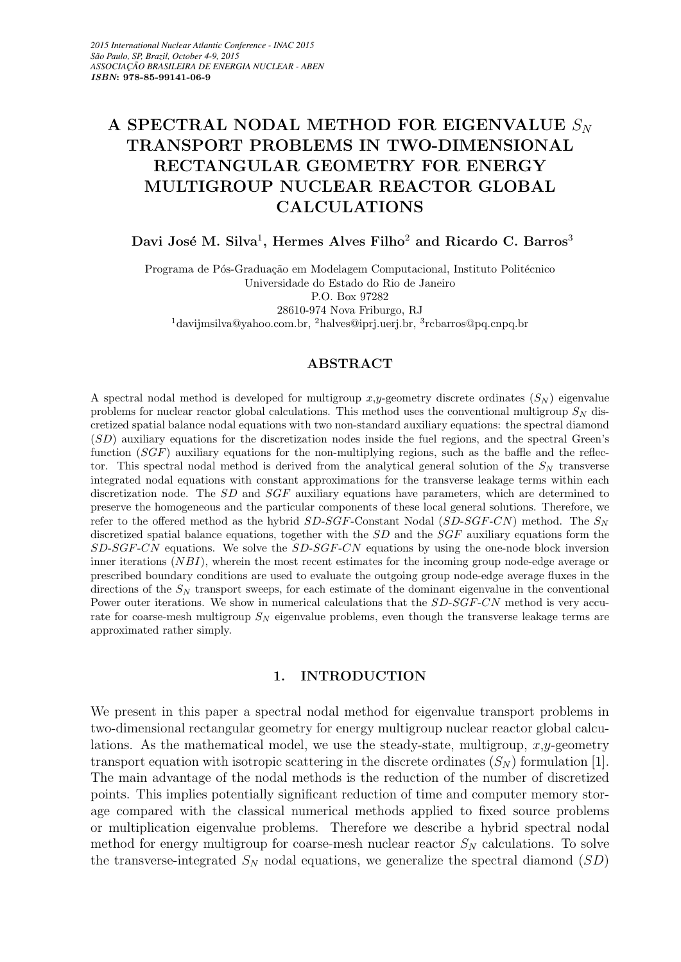# A SPECTRAL NODAL METHOD FOR EIGENVALUE  $S_N$ TRANSPORT PROBLEMS IN TWO-DIMENSIONAL RECTANGULAR GEOMETRY FOR ENERGY MULTIGROUP NUCLEAR REACTOR GLOBAL CALCULATIONS

# Davi José M. Silva<sup>1</sup>, Hermes Alves Filho<sup>2</sup> and Ricardo C. Barros<sup>3</sup>

Programa de Pós-Graduação em Modelagem Computacional, Instituto Politécnico Universidade do Estado do Rio de Janeiro P.O. Box 97282 28610-974 Nova Friburgo, RJ <sup>1</sup>davijmsilva@yahoo.com.br, <sup>2</sup>halves@iprj.uerj.br, <sup>3</sup>rcbarros@pq.cnpq.br

#### ABSTRACT

A spectral nodal method is developed for multigroup x,y-geometry discrete ordinates  $(S_N)$  eigenvalue problems for nuclear reactor global calculations. This method uses the conventional multigroup  $S_N$  discretized spatial balance nodal equations with two non-standard auxiliary equations: the spectral diamond (SD) auxiliary equations for the discretization nodes inside the fuel regions, and the spectral Green's function (SGF) auxiliary equations for the non-multiplying regions, such as the baffle and the reflector. This spectral nodal method is derived from the analytical general solution of the  $S<sub>N</sub>$  transverse integrated nodal equations with constant approximations for the transverse leakage terms within each discretization node. The SD and SGF auxiliary equations have parameters, which are determined to preserve the homogeneous and the particular components of these local general solutions. Therefore, we refer to the offered method as the hybrid  $SD\text{-}SGF\text{-}Constant$  Nodal  $(SD\text{-}SGF\text{-}CN)$  method. The  $S_N$ discretized spatial balance equations, together with the  $SD$  and the  $SGF$  auxiliary equations form the  $SD-SGF-CN$  equations. We solve the  $SD-SGF-CN$  equations by using the one-node block inversion inner iterations  $(NBI)$ , wherein the most recent estimates for the incoming group node-edge average or prescribed boundary conditions are used to evaluate the outgoing group node-edge average fluxes in the directions of the  $S_N$  transport sweeps, for each estimate of the dominant eigenvalue in the conventional Power outer iterations. We show in numerical calculations that the  $SD-SGF-CN$  method is very accurate for coarse-mesh multigroup  $S_N$  eigenvalue problems, even though the transverse leakage terms are approximated rather simply.

#### 1. INTRODUCTION

We present in this paper a spectral nodal method for eigenvalue transport problems in two-dimensional rectangular geometry for energy multigroup nuclear reactor global calculations. As the mathematical model, we use the steady-state, multigroup,  $x, y$ -geometry transport equation with isotropic scattering in the discrete ordinates  $(S_N)$  formulation [1]. The main advantage of the nodal methods is the reduction of the number of discretized points. This implies potentially significant reduction of time and computer memory storage compared with the classical numerical methods applied to fixed source problems or multiplication eigenvalue problems. Therefore we describe a hybrid spectral nodal method for energy multigroup for coarse-mesh nuclear reactor  $S_N$  calculations. To solve the transverse-integrated  $S_N$  nodal equations, we generalize the spectral diamond  $(SD)$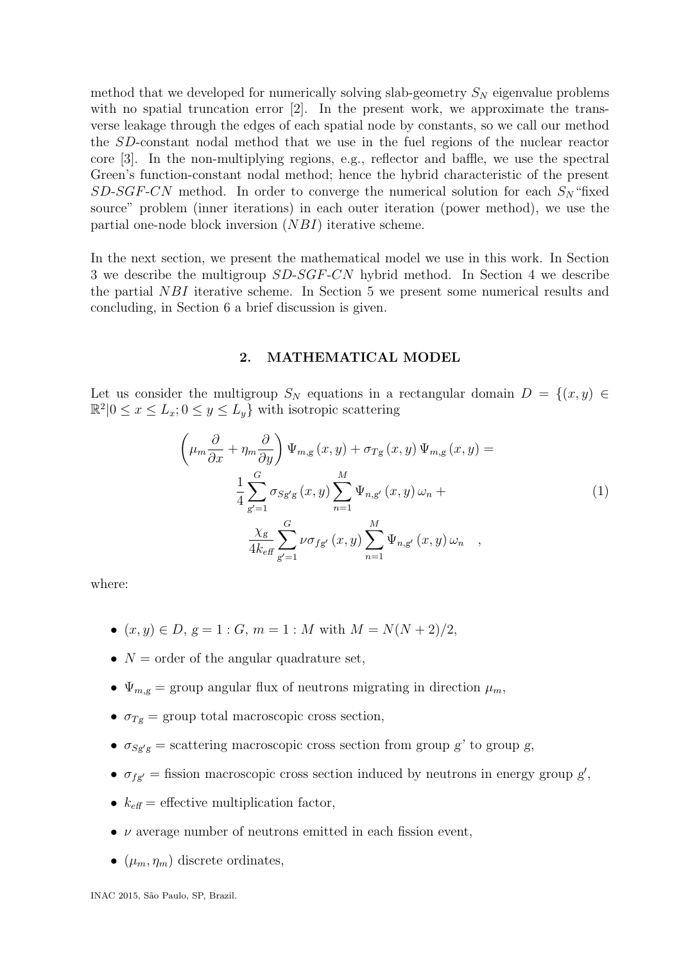method that we developed for numerically solving slab-geometry  $S_N$  eigenvalue problems with no spatial truncation error [2]. In the present work, we approximate the transverse leakage through the edges of each spatial node by constants, so we call our method the SD-constant nodal method that we use in the fuel regions of the nuclear reactor core [3]. In the non-multiplying regions, e.g., reflector and baffle, we use the spectral Green's function-constant nodal method; hence the hybrid characteristic of the present  $SD\text{-}SGF\text{-}CN$  method. In order to converge the numerical solution for each  $S_N$  "fixed source" problem (inner iterations) in each outer iteration (power method), we use the partial one-node block inversion (NBI) iterative scheme.

In the next section, we present the mathematical model we use in this work. In Section 3 we describe the multigroup  $SD-SGF-CN$  hybrid method. In Section 4 we describe the partial NBI iterative scheme. In Section 5 we present some numerical results and concluding, in Section 6 a brief discussion is given.

#### 2. MATHEMATICAL MODEL

Let us consider the multigroup  $S_N$  equations in a rectangular domain  $D = \{(x, y) \in$  $\mathbb{R}^2 \vert 0 \leq x \leq L_x; 0 \leq y \leq L_y$  with isotropic scattering

$$
\left(\mu_m \frac{\partial}{\partial x} + \eta_m \frac{\partial}{\partial y}\right) \Psi_{m,g}(x, y) + \sigma_{Tg}(x, y) \Psi_{m,g}(x, y) =
$$
\n
$$
\frac{1}{4} \sum_{g'=1}^{G} \sigma_{Sg'g}(x, y) \sum_{n=1}^{M} \Psi_{n,g'}(x, y) \omega_n +
$$
\n
$$
\frac{\chi_g}{4k_{\text{eff}}} \sum_{g'=1}^{G} \nu \sigma_{fg'}(x, y) \sum_{n=1}^{M} \Psi_{n,g'}(x, y) \omega_n ,
$$
\n(1)

where:

- $(x, y) \in D$ ,  $g = 1 : G$ ,  $m = 1 : M$  with  $M = N(N + 2)/2$ ,
- $N =$  order of the angular quadrature set,
- $\Psi_{m,g}$  = group angular flux of neutrons migrating in direction  $\mu_m$ ,
- $\sigma_{Tg}$  = group total macroscopic cross section,
- $\sigma_{Sg'g}$  = scattering macroscopic cross section from group g' to group g,
- $\sigma_{fg'}$  = fission macroscopic cross section induced by neutrons in energy group g',
- $k_{\text{eff}}$  = effective multiplication factor,
- $\nu$  average number of neutrons emitted in each fission event,
- $(\mu_m, \eta_m)$  discrete ordinates,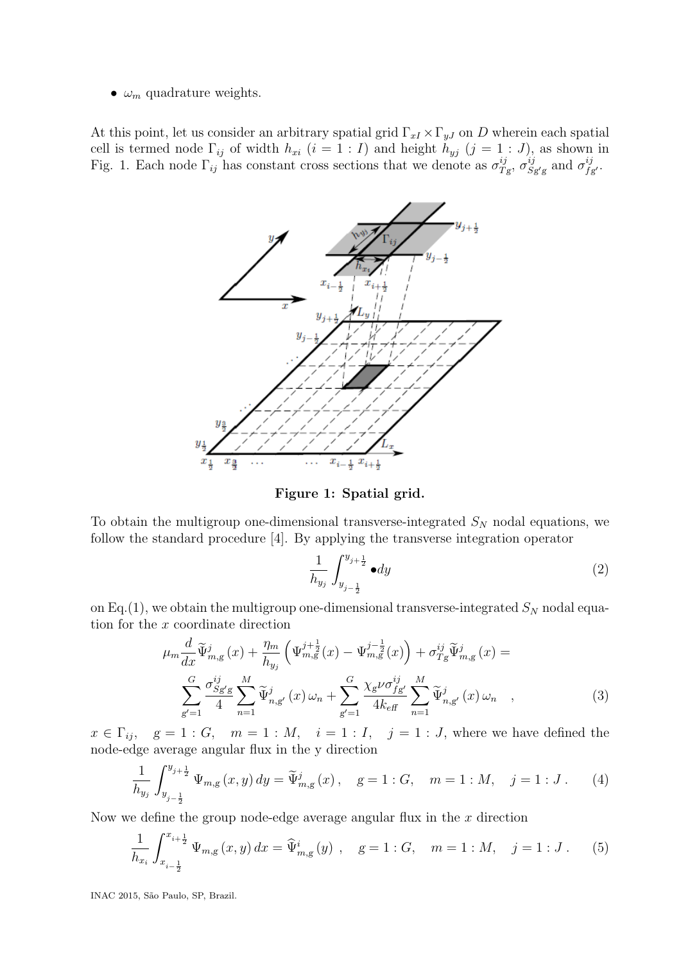•  $\omega_m$  quadrature weights.

At this point, let us consider an arbitrary spatial grid  $\Gamma_{xI} \times \Gamma_{yJ}$  on D wherein each spatial cell is termed node  $\Gamma_{ij}$  of width  $h_{xi}$   $(i = 1 : I)$  and height  $h_{yj}$   $(j = 1 : J)$ , as shown in Fig. 1. Each node  $\Gamma_{ij}$  has constant cross sections that we denote as  $\sigma_T^{ij}$  $\frac{ij}{Tg}, \sigma_S^{ij}$  $\frac{ij}{Sg'g}$  and  $\sigma^{ij}_{f_d}$  $_{fg^{\prime}}^{ij}.$ 



Figure 1: Spatial grid.

To obtain the multigroup one-dimensional transverse-integrated  $S_N$  nodal equations, we follow the standard procedure [4]. By applying the transverse integration operator

$$
\frac{1}{h_{y_j}} \int_{y_{j-\frac{1}{2}}}^{y_{j+\frac{1}{2}}} \bullet dy \tag{2}
$$

on Eq.(1), we obtain the multigroup one-dimensional transverse-integrated  $S_N$  nodal equation for the x coordinate direction

$$
\mu_{m} \frac{d}{dx} \widetilde{\Psi}_{m,g}^{j}(x) + \frac{\eta_{m}}{h_{y_{j}}} \left( \Psi_{m,g}^{j+\frac{1}{2}}(x) - \Psi_{m,g}^{j-\frac{1}{2}}(x) \right) + \sigma_{Tg}^{ij} \widetilde{\Psi}_{m,g}^{j}(x) =
$$
\n
$$
\sum_{g'=1}^{G} \frac{\sigma_{Sg'g}^{ij}}{4} \sum_{n=1}^{M} \widetilde{\Psi}_{n,g'}^{j}(x) \omega_{n} + \sum_{g'=1}^{G} \frac{\chi_{g} \nu \sigma_{fg'}^{ij}}{4k_{\text{eff}}} \sum_{n=1}^{M} \widetilde{\Psi}_{n,g'}^{j}(x) \omega_{n} , \qquad (3)
$$

 $x \in \Gamma_{ij}, \quad g = 1 : G, \quad m = 1 : M, \quad i = 1 : I, \quad j = 1 : J$ , where we have defined the node-edge average angular flux in the y direction

$$
\frac{1}{h_{y_j}} \int_{y_{j-\frac{1}{2}}}^{y_{j+\frac{1}{2}}} \Psi_{m,g}(x, y) dy = \widetilde{\Psi}_{m,g}^j(x), \quad g = 1 : G, \quad m = 1 : M, \quad j = 1 : J. \tag{4}
$$

Now we define the group node-edge average angular flux in the  $x$  direction

$$
\frac{1}{h_{x_i}} \int_{x_{i-\frac{1}{2}}}^{x_{i+\frac{1}{2}}} \Psi_{m,g}(x,y) dx = \widehat{\Psi}_{m,g}^i(y) , \quad g = 1 : G, \quad m = 1 : M, \quad j = 1 : J. \tag{5}
$$

INAC 2015, S˜ao Paulo, SP, Brazil.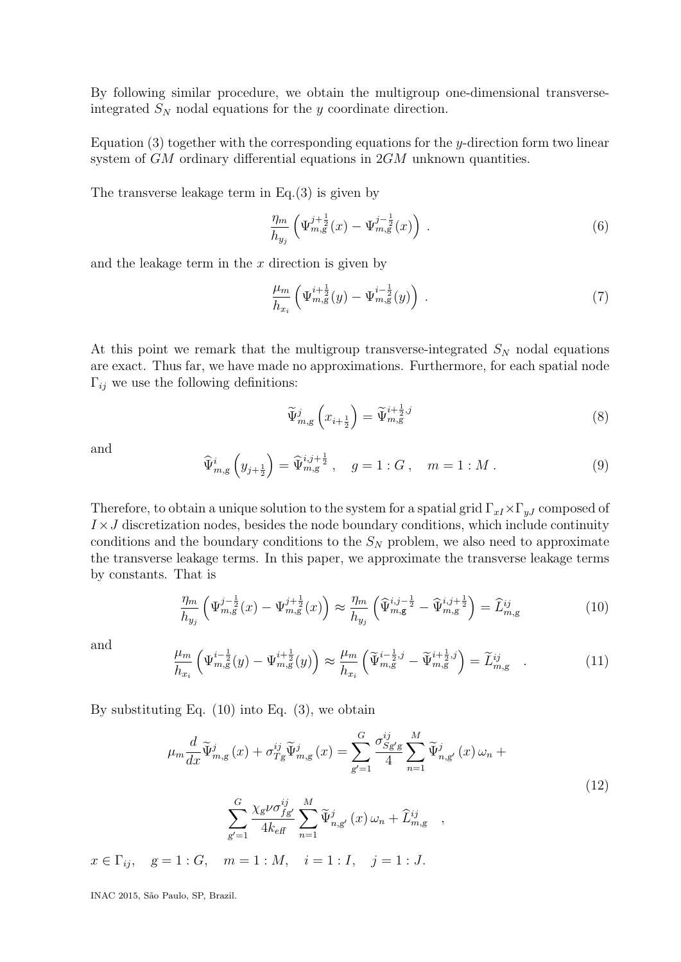By following similar procedure, we obtain the multigroup one-dimensional transverseintegrated  $S_N$  nodal equations for the y coordinate direction.

Equation  $(3)$  together with the corresponding equations for the y-direction form two linear system of GM ordinary differential equations in  $2GM$  unknown quantities.

The transverse leakage term in Eq.(3) is given by

$$
\frac{\eta_m}{h_{y_j}} \left( \Psi_{m,g}^{j+\frac{1}{2}}(x) - \Psi_{m,g}^{j-\frac{1}{2}}(x) \right) \,. \tag{6}
$$

and the leakage term in the  $x$  direction is given by

$$
\frac{\mu_m}{h_{x_i}} \left( \Psi_{m,g}^{i+\frac{1}{2}}(y) - \Psi_{m,g}^{i-\frac{1}{2}}(y) \right) \,. \tag{7}
$$

At this point we remark that the multigroup transverse-integrated  $S_N$  nodal equations are exact. Thus far, we have made no approximations. Furthermore, for each spatial node  $\Gamma_{ij}$  we use the following definitions:

$$
\widetilde{\Psi}_{m,g}^{j}\left(x_{i+\frac{1}{2}}\right) = \widetilde{\Psi}_{m,g}^{i+\frac{1}{2},j} \tag{8}
$$

and

$$
\widehat{\Psi}_{m,g}^{i}\left(y_{j+\frac{1}{2}}\right) = \widehat{\Psi}_{m,g}^{i,j+\frac{1}{2}}, \quad g = 1:G, \quad m = 1:M.
$$
\n(9)

Therefore, to obtain a unique solution to the system for a spatial grid  $\Gamma_{xI} \times \Gamma_{yJ}$  composed of  $I \times J$  discretization nodes, besides the node boundary conditions, which include continuity conditions and the boundary conditions to the  $S_N$  problem, we also need to approximate the transverse leakage terms. In this paper, we approximate the transverse leakage terms by constants. That is

$$
\frac{\eta_m}{h_{y_j}} \left( \Psi_{m,g}^{j-\frac{1}{2}}(x) - \Psi_{m,g}^{j+\frac{1}{2}}(x) \right) \approx \frac{\eta_m}{h_{y_j}} \left( \widehat{\Psi}_{m,g}^{i,j-\frac{1}{2}} - \widehat{\Psi}_{m,g}^{i,j+\frac{1}{2}} \right) = \widehat{L}_{m,g}^{ij}
$$
(10)

and

$$
\frac{\mu_m}{h_{x_i}} \left( \Psi_{m,g}^{i-\frac{1}{2}}(y) - \Psi_{m,g}^{i+\frac{1}{2}}(y) \right) \approx \frac{\mu_m}{h_{x_i}} \left( \widetilde{\Psi}_{m,g}^{i-\frac{1}{2},j} - \widetilde{\Psi}_{m,g}^{i+\frac{1}{2},j} \right) = \widetilde{L}_{m,g}^{ij} \quad . \tag{11}
$$

By substituting Eq.  $(10)$  into Eq.  $(3)$ , we obtain

$$
\mu_m \frac{d}{dx} \widetilde{\Psi}_{m,g}^j(x) + \sigma_{Tg}^{ij} \widetilde{\Psi}_{m,g}^j(x) = \sum_{g'=1}^G \frac{\sigma_{Sg'g}^{ij}}{4} \sum_{n=1}^M \widetilde{\Psi}_{n,g'}^j(x) \omega_n + \sum_{g'=1}^G \frac{\chi_g \nu \sigma_{fg'}^{ij}}{4k_{\text{eff}}} \sum_{n=1}^M \widetilde{\Psi}_{n,g'}^j(x) \omega_n + \widehat{L}_{m,g}^{ij} \quad ,
$$
\n
$$
-1: C \quad m = 1: M \quad i = 1: I \quad i = 1: J
$$
\n(12)

$$
x \in \Gamma_{ij}
$$
,  $g = 1 : G$ ,  $m = 1 : M$ ,  $i = 1 : I$ ,  $j = 1 : J$ .

INAC 2015, S˜ao Paulo, SP, Brazil.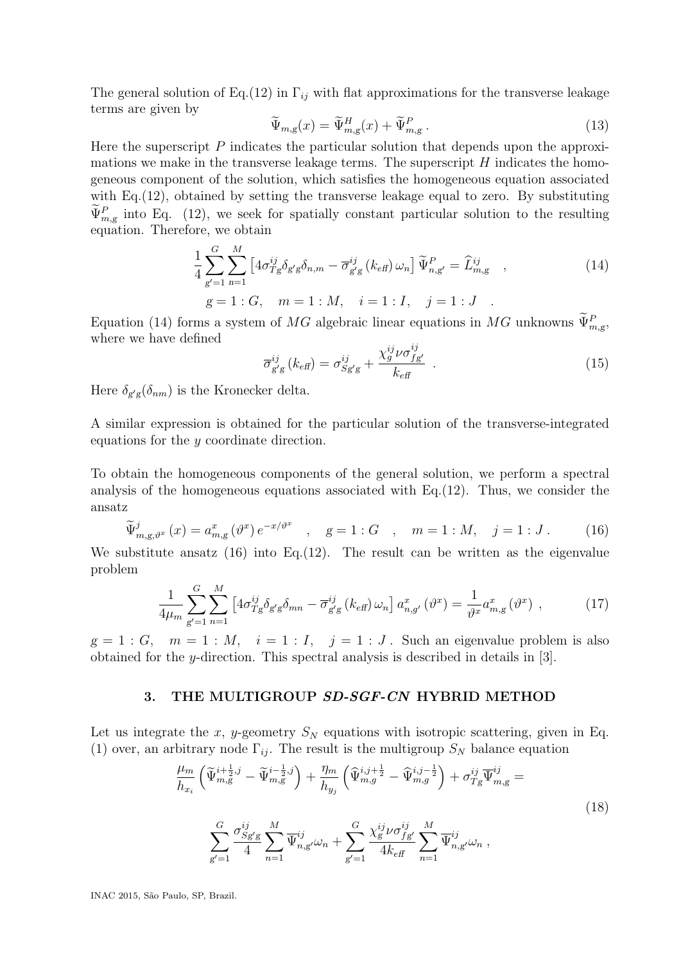The general solution of Eq.(12) in  $\Gamma_{ij}$  with flat approximations for the transverse leakage terms are given by

$$
\widetilde{\Psi}_{m,g}(x) = \widetilde{\Psi}_{m,g}^H(x) + \widetilde{\Psi}_{m,g}^P.
$$
\n(13)

Here the superscript  $P$  indicates the particular solution that depends upon the approximations we make in the transverse leakage terms. The superscript  $H$  indicates the homogeneous component of the solution, which satisfies the homogeneous equation associated with Eq. (12), obtained by setting the transverse leakage equal to zero. By substituting  $\Psi_{m,g}^P$  into Eq. (12), we seek for spatially constant particular solution to the resulting equation. Therefore, we obtain

$$
\frac{1}{4} \sum_{g'=1}^{G} \sum_{n=1}^{M} \left[ 4 \sigma_{Tg}^{ij} \delta_{g'g} \delta_{n,m} - \overline{\sigma}_{g'g}^{ij} (k_{\text{eff}}) \omega_n \right] \widetilde{\Psi}_{n,g'}^{P} = \widehat{L}_{m,g}^{ij} ,
$$
\n
$$
g = 1 : G, \quad m = 1 : M, \quad i = 1 : I, \quad j = 1 : J .
$$
\n(14)

Equation (14) forms a system of MG algebraic linear equations in MG unknowns  $\Psi_{m,g}^P$ , where we have defined

$$
\overline{\sigma}_{g'g}^{ij}(k_{\text{eff}}) = \sigma_{Sg'g}^{ij} + \frac{\chi_g^{ij}\nu\sigma_{fg'}^{ij}}{k_{\text{eff}}}.
$$
\n(15)

Here  $\delta_{g'g}(\delta_{nm})$  is the Kronecker delta.

A similar expression is obtained for the particular solution of the transverse-integrated equations for the y coordinate direction.

To obtain the homogeneous components of the general solution, we perform a spectral analysis of the homogeneous equations associated with Eq.(12). Thus, we consider the ansatz

$$
\widetilde{\Psi}_{m,g,\vartheta^{x}}^{j}(x) = a_{m,g}^{x}(\vartheta^{x})e^{-x/\vartheta^{x}} \quad , \quad g = 1:G \quad , \quad m = 1:M, \quad j = 1:J. \tag{16}
$$

We substitute ansatz  $(16)$  into Eq.  $(12)$ . The result can be written as the eigenvalue problem

$$
\frac{1}{4\mu_m} \sum_{g'=1}^{G} \sum_{n=1}^{M} \left[ 4\sigma_{Tg}^{ij} \delta_{g'g} \delta_{mn} - \overline{\sigma}_{g'g}^{ij} \left( k_{\text{eff}} \right) \omega_n \right] a_{n,g'}^x \left( \vartheta^x \right) = \frac{1}{\vartheta^x} a_{m,g}^x \left( \vartheta^x \right) , \tag{17}
$$

 $g = 1 : G$ ,  $m = 1 : M$ ,  $i = 1 : I$ ,  $j = 1 : J$ . Such an eigenvalue problem is also obtained for the y-direction. This spectral analysis is described in details in [3].

#### 3. THE MULTIGROUP SD-SGF-CN HYBRID METHOD

Let us integrate the x, y-geometry  $S_N$  equations with isotropic scattering, given in Eq. (1) over, an arbitrary node  $\Gamma_{ij}$ . The result is the multigroup  $S_N$  balance equation

 $g' = 1$ 

$$
\frac{\mu_m}{h_{x_i}} \left( \widetilde{\Psi}_{m,g}^{i + \frac{1}{2},j} - \widetilde{\Psi}_{m,g}^{i - \frac{1}{2},j} \right) + \frac{\eta_m}{h_{y_j}} \left( \widetilde{\Psi}_{m,g}^{i,j + \frac{1}{2}} - \widetilde{\Psi}_{m,g}^{i,j - \frac{1}{2}} \right) + \sigma_{Tg}^{ij} \overline{\Psi}_{m,g}^{ij} =
$$
\n
$$
\sum_{g'=1}^{G} \frac{\sigma_{Sg'g}^{ij}}{4} \sum_{n=1}^{M} \overline{\Psi}_{n,g'}^{ij} \omega_n + \sum_{g'=1}^{G} \frac{\chi_g^{ij} \nu \sigma_{fg'}^{ij}}{4k_{\text{eff}}} \sum_{n=1}^{M} \overline{\Psi}_{n,g'}^{ij} \omega_n ,
$$
\n(18)

INAC 2015, S˜ao Paulo, SP, Brazil.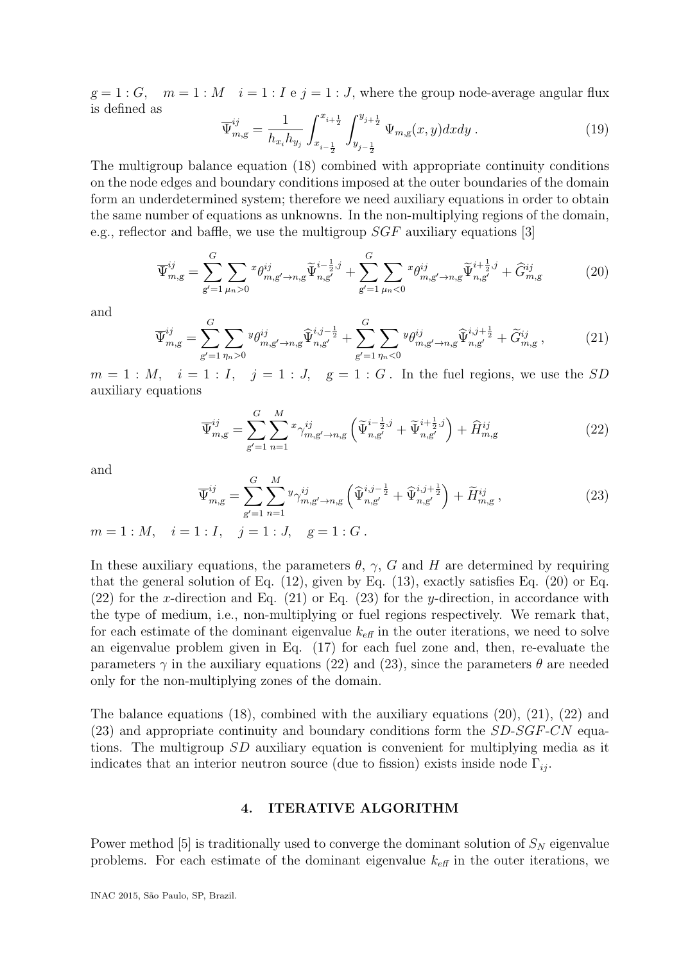$g = 1 : G$ ,  $m = 1 : M$   $i = 1 : I$  e  $j = 1 : J$ , where the group node-average angular flux is defined as

$$
\overline{\Psi}_{m,g}^{ij} = \frac{1}{h_{x_i} h_{y_j}} \int_{x_{i-\frac{1}{2}}}^{x_{i+\frac{1}{2}}} \int_{y_{j-\frac{1}{2}}}^{y_{j+\frac{1}{2}}} \Psi_{m,g}(x,y) dx dy . \tag{19}
$$

The multigroup balance equation (18) combined with appropriate continuity conditions on the node edges and boundary conditions imposed at the outer boundaries of the domain form an underdetermined system; therefore we need auxiliary equations in order to obtain the same number of equations as unknowns. In the non-multiplying regions of the domain, e.g., reflector and baffle, we use the multigroup  $SGF$  auxiliary equations [3]

$$
\overline{\Psi}_{m,g}^{ij} = \sum_{g'=1}^{G} \sum_{\mu_n > 0} x \theta_{m,g'-n,g}^{ij} \widetilde{\Psi}_{n,g'}^{i-\frac{1}{2},j} + \sum_{g'=1}^{G} \sum_{\mu_n < 0} x \theta_{m,g'-n,g}^{ij} \widetilde{\Psi}_{n,g'}^{i+\frac{1}{2},j} + \widehat{G}_{m,g}^{ij}
$$
(20)

and

$$
\overline{\Psi}_{m,g}^{ij} = \sum_{g'=1}^{G} \sum_{\eta_n > 0} \mathcal{Y}_{m,g'-n,g}^{ij} \widehat{\Psi}_{n,g'}^{i,j-\frac{1}{2}} + \sum_{g'=1}^{G} \sum_{\eta_n < 0} \mathcal{Y}_{m,g'-n,g}^{ij} \widehat{\Psi}_{n,g'}^{i,j+\frac{1}{2}} + \widetilde{G}_{m,g}^{ij} \,, \tag{21}
$$

 $m = 1 : M$ ,  $i = 1 : I$ ,  $j = 1 : J$ ,  $g = 1 : G$ . In the fuel regions, we use the SD auxiliary equations

$$
\overline{\Psi}_{m,g}^{ij} = \sum_{g'=1}^{G} \sum_{n=1}^{M} x_{\gamma_{m,g'\to n,g}^{ij}} \left( \tilde{\Psi}_{n,g'}^{i-\frac{1}{2},j} + \tilde{\Psi}_{n,g'}^{i+\frac{1}{2},j} \right) + \widehat{H}_{m,g}^{ij}
$$
(22)

and

$$
\overline{\Psi}_{m,g}^{ij} = \sum_{g'=1}^{G} \sum_{n=1}^{M} \sum_{n=1}^{g} \gamma_{m,g'\to n,g}^{ij} \left( \widehat{\Psi}_{n,g'}^{i,j-\frac{1}{2}} + \widehat{\Psi}_{n,g'}^{i,j+\frac{1}{2}} \right) + \widetilde{H}_{m,g}^{ij} ,
$$
\n(23)

$$
m = 1 : M
$$
,  $i = 1 : I$ ,  $j = 1 : J$ ,  $g = 1 : G$ .

In these auxiliary equations, the parameters  $\theta$ ,  $\gamma$ , G and H are determined by requiring that the general solution of Eq.  $(12)$ , given by Eq.  $(13)$ , exactly satisfies Eq.  $(20)$  or Eq.  $(22)$  for the x-direction and Eq.  $(21)$  or Eq.  $(23)$  for the y-direction, in accordance with the type of medium, i.e., non-multiplying or fuel regions respectively. We remark that, for each estimate of the dominant eigenvalue  $k_{\text{eff}}$  in the outer iterations, we need to solve an eigenvalue problem given in Eq. (17) for each fuel zone and, then, re-evaluate the parameters  $\gamma$  in the auxiliary equations (22) and (23), since the parameters  $\theta$  are needed only for the non-multiplying zones of the domain.

The balance equations  $(18)$ , combined with the auxiliary equations  $(20)$ ,  $(21)$ ,  $(22)$  and  $(23)$  and appropriate continuity and boundary conditions form the  $SD\text{-}SGF\text{-}CN$  equations. The multigroup SD auxiliary equation is convenient for multiplying media as it indicates that an interior neutron source (due to fission) exists inside node  $\Gamma_{ij}$ .

#### 4. ITERATIVE ALGORITHM

Power method [5] is traditionally used to converge the dominant solution of  $S_N$  eigenvalue problems. For each estimate of the dominant eigenvalue  $k_{\text{eff}}$  in the outer iterations, we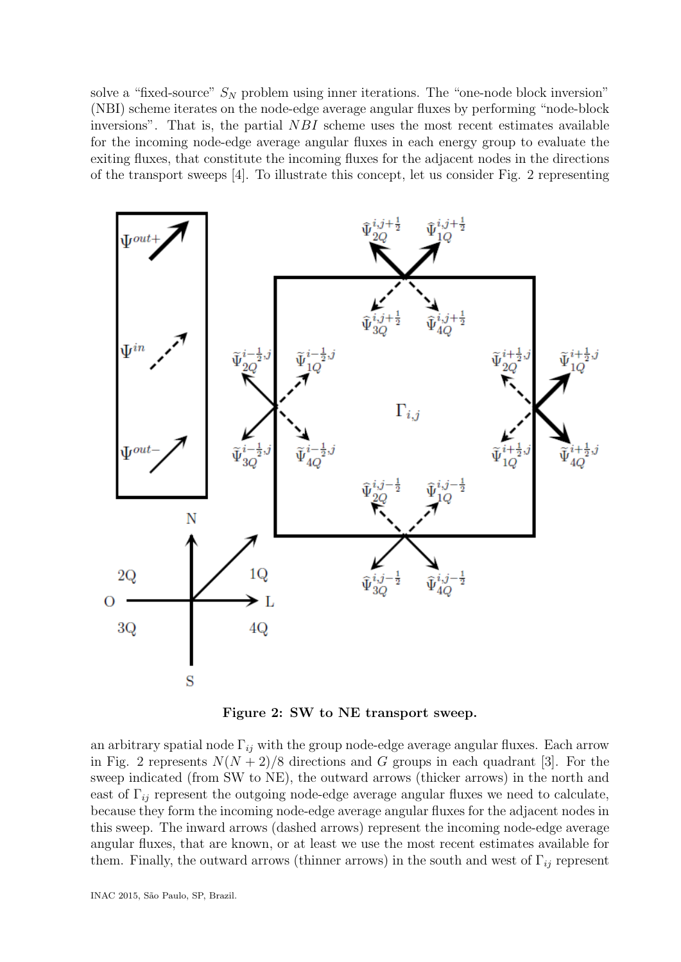solve a "fixed-source"  $S_N$  problem using inner iterations. The "one-node block inversion" (NBI) scheme iterates on the node-edge average angular fluxes by performing "node-block inversions". That is, the partial  $NBI$  scheme uses the most recent estimates available for the incoming node-edge average angular fluxes in each energy group to evaluate the exiting fluxes, that constitute the incoming fluxes for the adjacent nodes in the directions of the transport sweeps [4]. To illustrate this concept, let us consider Fig. 2 representing



Figure 2: SW to NE transport sweep.

an arbitrary spatial node  $\Gamma_{ij}$  with the group node-edge average angular fluxes. Each arrow in Fig. 2 represents  $N(N+2)/8$  directions and G groups in each quadrant [3]. For the sweep indicated (from SW to NE), the outward arrows (thicker arrows) in the north and east of  $\Gamma_{ij}$  represent the outgoing node-edge average angular fluxes we need to calculate, because they form the incoming node-edge average angular fluxes for the adjacent nodes in this sweep. The inward arrows (dashed arrows) represent the incoming node-edge average angular fluxes, that are known, or at least we use the most recent estimates available for them. Finally, the outward arrows (thinner arrows) in the south and west of  $\Gamma_{ij}$  represent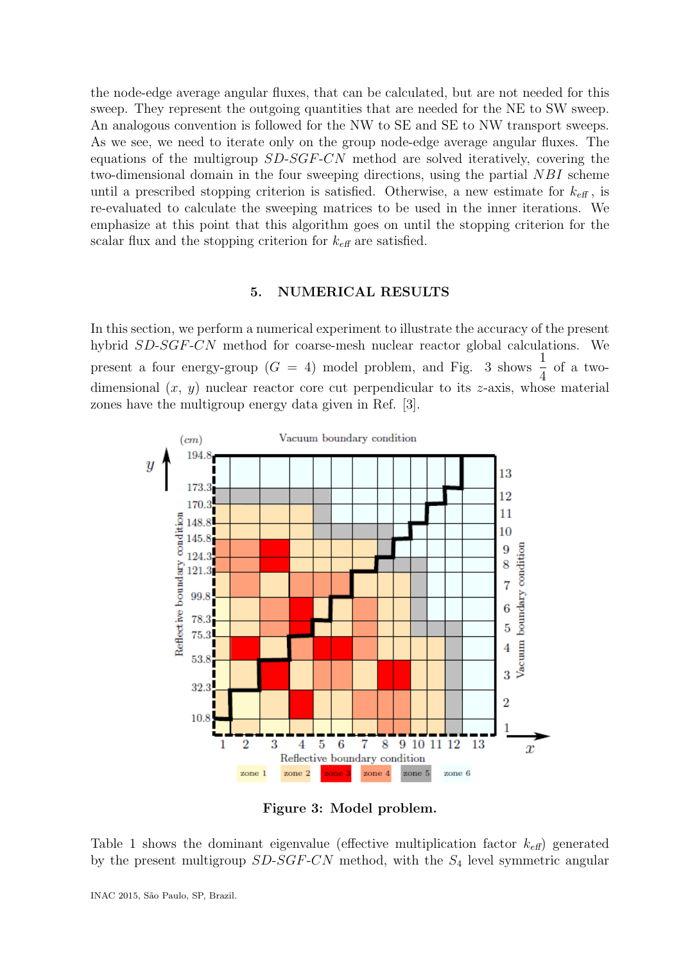the node-edge average angular fluxes, that can be calculated, but are not needed for this sweep. They represent the outgoing quantities that are needed for the NE to SW sweep. An analogous convention is followed for the NW to SE and SE to NW transport sweeps. As we see, we need to iterate only on the group node-edge average angular fluxes. The equations of the multigroup SD-SGF-CN method are solved iteratively, covering the two-dimensional domain in the four sweeping directions, using the partial NBI scheme until a prescribed stopping criterion is satisfied. Otherwise, a new estimate for  $k_{\text{eff}}$ , is re-evaluated to calculate the sweeping matrices to be used in the inner iterations. We emphasize at this point that this algorithm goes on until the stopping criterion for the scalar flux and the stopping criterion for  $k_{\text{eff}}$  are satisfied.

### 5. NUMERICAL RESULTS

In this section, we perform a numerical experiment to illustrate the accuracy of the present hybrid SD-SGF-CN method for coarse-mesh nuclear reactor global calculations. We present a four energy-group ( $G = 4$ ) model problem, and Fig. 3 shows  $\frac{1}{4}$ 4 of a twodimensional  $(x, y)$  nuclear reactor core cut perpendicular to its z-axis, whose material zones have the multigroup energy data given in Ref. [3].



Figure 3: Model problem.

Table 1 shows the dominant eigenvalue (effective multiplication factor  $k_{\text{eff}}$ ) generated by the present multigroup  $SD-SGF-CN$  method, with the  $S_4$  level symmetric angular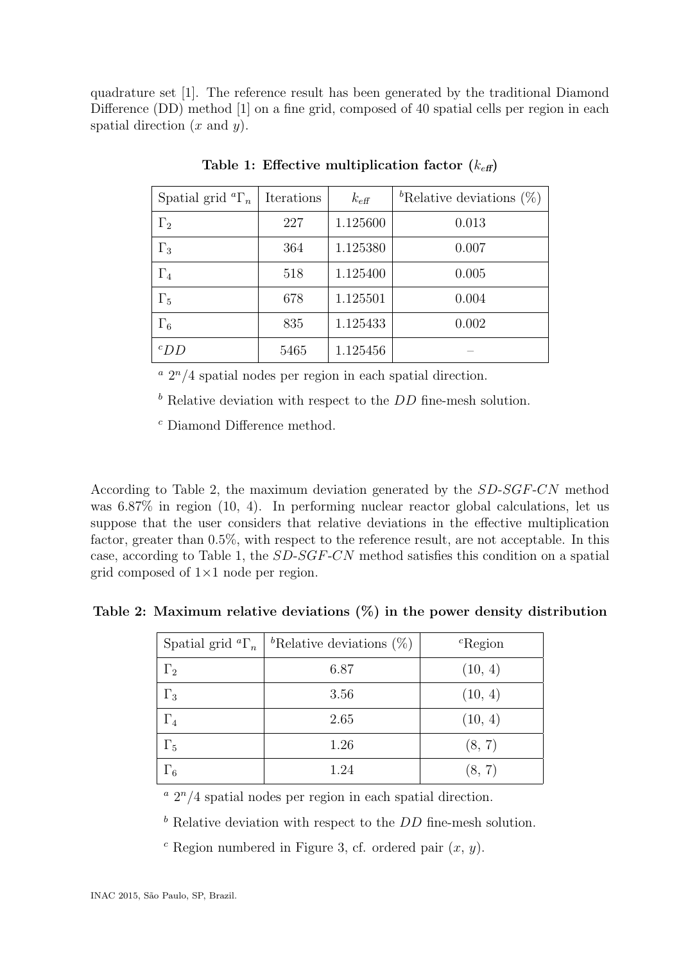quadrature set [1]. The reference result has been generated by the traditional Diamond Difference (DD) method [1] on a fine grid, composed of 40 spatial cells per region in each spatial direction  $(x \text{ and } y)$ .

| Spatial grid ${}^a\Gamma_n$ | Iterations | $k_{\text{eff}}$ | <sup>b</sup> Relative deviations $(\%)$ |
|-----------------------------|------------|------------------|-----------------------------------------|
| $\Gamma_2$                  | 227        | 1.125600         | 0.013                                   |
| $\Gamma_3$                  | 364        | 1.125380         | 0.007                                   |
| $\Gamma_4$                  | 518        | 1.125400         | 0.005                                   |
| $\Gamma_5$                  | 678        | 1.125501         | 0.004                                   |
| $\Gamma_6$                  | 835        | 1.125433         | 0.002                                   |
| $c_{DD}$                    | 5465       | 1.125456         |                                         |

Table 1: Effective multiplication factor  $(k_{\text{eff}})$ 

 $a$   $2^n/4$  spatial nodes per region in each spatial direction.

 $<sup>b</sup>$  Relative deviation with respect to the *DD* fine-mesh solution.</sup>

 $\,^c$  Diamond Difference method.

According to Table 2, the maximum deviation generated by the SD-SGF-CN method was 6.87% in region (10, 4). In performing nuclear reactor global calculations, let us suppose that the user considers that relative deviations in the effective multiplication factor, greater than 0.5%, with respect to the reference result, are not acceptable. In this case, according to Table 1, the SD-SGF-CN method satisfies this condition on a spatial grid composed of  $1\times1$  node per region.

Table 2: Maximum relative deviations  $(\%)$  in the power density distribution

| Spatial grid ${}^a\Gamma_n$ | <sup>b</sup> Relative deviations $(\%)$ | ${}^{c}$ Region |
|-----------------------------|-----------------------------------------|-----------------|
| $\Gamma_2$                  | 6.87                                    | (10, 4)         |
| $\Gamma_3$                  | 3.56                                    | (10, 4)         |
| $\Gamma_4$                  | 2.65                                    | (10, 4)         |
| $\Gamma_5$                  | 1.26                                    | (8, 7)          |
| $\Gamma_6$                  | 1.24                                    | (8, 7)          |

 $a$   $2^n/4$  spatial nodes per region in each spatial direction.

 $<sup>b</sup>$  Relative deviation with respect to the  $DD$  fine-mesh solution.</sup>

<sup>c</sup> Region numbered in Figure 3, cf. ordered pair  $(x, y)$ .